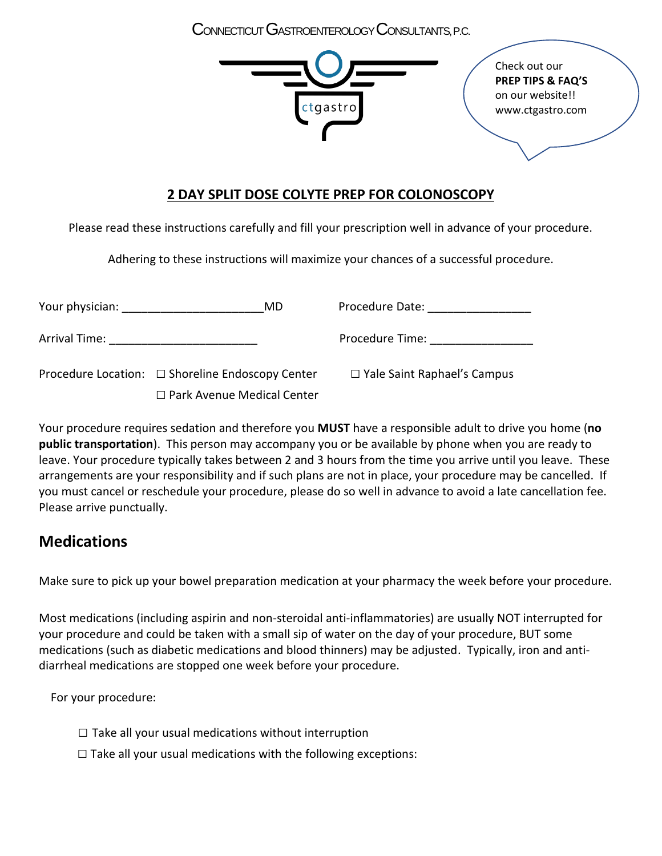CONNECTICUTGASTROENTEROLOGYCONSULTANTS, P.C.



### **2 DAY SPLIT DOSE COLYTE PREP FOR COLONOSCOPY**

Please read these instructions carefully and fill your prescription well in advance of your procedure.

Adhering to these instructions will maximize your chances of a successful procedure.

| <b>Your physician:</b> The state of the state of the state of the state of the state of the state of the state of the state of the state of the state of the state of the state of the state of the state of the state of the state | MD                                                    | Procedure Date:                    |
|-------------------------------------------------------------------------------------------------------------------------------------------------------------------------------------------------------------------------------------|-------------------------------------------------------|------------------------------------|
| Arrival Time:                                                                                                                                                                                                                       |                                                       | Procedure Time:                    |
|                                                                                                                                                                                                                                     | Procedure Location: $\Box$ Shoreline Endoscopy Center | $\Box$ Yale Saint Raphael's Campus |
|                                                                                                                                                                                                                                     | $\Box$ Park Avenue Medical Center                     |                                    |

Your procedure requires sedation and therefore you **MUST** have a responsible adult to drive you home (**no public transportation**). This person may accompany you or be available by phone when you are ready to leave. Your procedure typically takes between 2 and 3 hours from the time you arrive until you leave. These arrangements are your responsibility and if such plans are not in place, your procedure may be cancelled. If you must cancel or reschedule your procedure, please do so well in advance to avoid a late cancellation fee. Please arrive punctually.

# **Medications**

Make sure to pick up your bowel preparation medication at your pharmacy the week before your procedure.

Most medications (including aspirin and non-steroidal anti-inflammatories) are usually NOT interrupted for your procedure and could be taken with a small sip of water on the day of your procedure, BUT some medications (such as diabetic medications and blood thinners) may be adjusted. Typically, iron and antidiarrheal medications are stopped one week before your procedure.

For your procedure:

- $\square$  Take all your usual medications without interruption
- $\square$  Take all your usual medications with the following exceptions: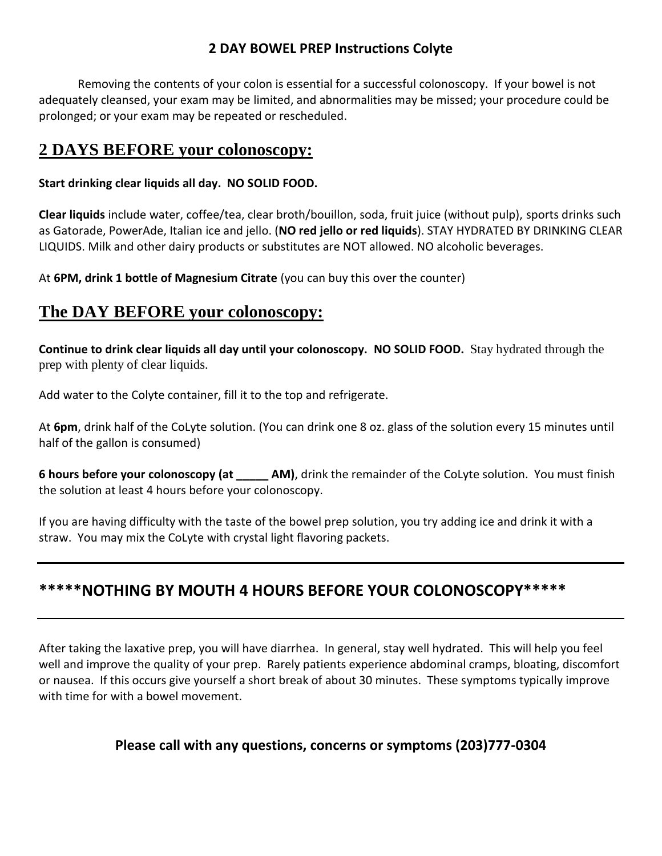### **2 DAY BOWEL PREP Instructions Colyte**

Removing the contents of your colon is essential for a successful colonoscopy. If your bowel is not adequately cleansed, your exam may be limited, and abnormalities may be missed; your procedure could be prolonged; or your exam may be repeated or rescheduled.

# **2 DAYS BEFORE your colonoscopy:**

#### **Start drinking clear liquids all day. NO SOLID FOOD.**

**Clear liquids** include water, coffee/tea, clear broth/bouillon, soda, fruit juice (without pulp), sports drinks such as Gatorade, PowerAde, Italian ice and jello. (**NO red jello or red liquids**). STAY HYDRATED BY DRINKING CLEAR LIQUIDS. Milk and other dairy products or substitutes are NOT allowed. NO alcoholic beverages.

At **6PM, drink 1 bottle of Magnesium Citrate** (you can buy this over the counter)

## **The DAY BEFORE your colonoscopy:**

**Continue to drink clear liquids all day until your colonoscopy. NO SOLID FOOD.** Stay hydrated through the prep with plenty of clear liquids.

Add water to the Colyte container, fill it to the top and refrigerate.

At **6pm**, drink half of the CoLyte solution. (You can drink one 8 oz. glass of the solution every 15 minutes until half of the gallon is consumed)

**6 hours before your colonoscopy (at \_\_\_\_\_ AM)**, drink the remainder of the CoLyte solution. You must finish the solution at least 4 hours before your colonoscopy.

If you are having difficulty with the taste of the bowel prep solution, you try adding ice and drink it with a straw. You may mix the CoLyte with crystal light flavoring packets.

## **\*\*\*\*\*NOTHING BY MOUTH 4 HOURS BEFORE YOUR COLONOSCOPY\*\*\*\*\***

After taking the laxative prep, you will have diarrhea. In general, stay well hydrated. This will help you feel well and improve the quality of your prep. Rarely patients experience abdominal cramps, bloating, discomfort or nausea. If this occurs give yourself a short break of about 30 minutes. These symptoms typically improve with time for with a bowel movement.

### **Please call with any questions, concerns or symptoms (203)777-0304**